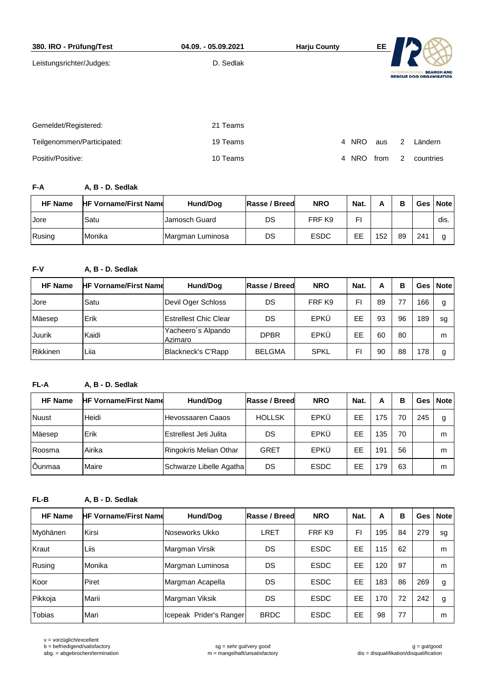| 380. IRO - Prüfung/Test    | 04.09. - 05.09.2021 | <b>Harju County</b> | EE   |                                                     |
|----------------------------|---------------------|---------------------|------|-----------------------------------------------------|
| Leistungsrichter/Judges:   | D. Sedlak           |                     |      |                                                     |
|                            |                     |                     |      | <b>SEARCH AND</b><br><b>RESCUE DOG ORGANISATION</b> |
|                            |                     |                     |      |                                                     |
|                            |                     |                     |      |                                                     |
| Gemeldet/Registered:       | 21 Teams            |                     |      |                                                     |
| Teilgenommen/Participated: | 19 Teams            | 4 NRO               | aus  | 2<br>Ländern                                        |
| Positiv/Positive:          | 10 Teams            | <b>NRO</b><br>4     | from | 2<br>countries                                      |

**F-A A, B - D. Sedlak**

| <b>HF Name</b> | <b>HF Vorname/First Name</b> | Hund/Dog         | <b>Rasse / Breed</b> | <b>NRO</b>  | Nat. |     | в  |     | Ges Note |
|----------------|------------------------------|------------------|----------------------|-------------|------|-----|----|-----|----------|
| Jore           | Satu                         | Jamosch Guard    | DS                   | FRF K9      | FI   |     |    |     | dis.     |
| Rusing         | Monika                       | Margman Luminosa | DS                   | <b>ESDC</b> | EЕ   | 152 | 89 | 241 |          |

**F-V A, B - D. Sedlak**

| <b>HF Name</b> | <b>HF Vorname/First Name</b> | Hund/Dog                      | Rasse / Breed | <b>NRO</b>  | Nat. | A  | в  |     | Ges   Note |
|----------------|------------------------------|-------------------------------|---------------|-------------|------|----|----|-----|------------|
| Jore           | Satu                         | Devil Oger Schloss            | DS            | FRF K9      | FI   | 89 | 77 | 166 | g          |
| Mäesep         | Erik                         | Estrellest Chic Clear         | DS            | EPKÜ        | EE   | 93 | 96 | 189 | sg         |
| Juurik         | Kaidi                        | Yacheero's Alpando<br>Azimaro | <b>DPBR</b>   | EPKÜ        | EЕ   | 60 | 80 |     | m          |
| Rikkinen       | Liia                         | Blackneck's C'Rapp            | <b>BELGMA</b> | <b>SPKL</b> | FI   | 90 | 88 | 178 | g          |

## **FL-A A, B - D. Sedlak**

| <b>HF Name</b> | <b>HF Vorname/First Name</b> | Hund/Dog                | Rasse / Breed | <b>NRO</b>  | Nat. | A   | В  |     | Ges   Note |
|----------------|------------------------------|-------------------------|---------------|-------------|------|-----|----|-----|------------|
| Nuust          | Heidi                        | l Hevossaaren Caaos     | <b>HOLLSK</b> | EPKÜ        | EE   | 175 | 70 | 245 | g          |
| Mäesep         | <b>Erik</b>                  | Estrellest Jeti Julita  | DS            | EPKÜ        | EЕ   | 135 | 70 |     | m          |
| Roosma         | Airika                       | Ringokris Melian Othar  | GRET          | EPKÜ        | EE   | 191 | 56 |     | m          |
| Õunmaa         | Maire                        | Schwarze Libelle Agatha | DS            | <b>ESDC</b> | EЕ   | 179 | 63 |     | m          |

**FL-B A, B - D. Sedlak**

| <b>HF Name</b> | <b>HF Vorname/First Name</b> | Hund/Dog                | Rasse / Breed | <b>NRO</b>  | Nat. | A   | B  |     | Ges   Note |
|----------------|------------------------------|-------------------------|---------------|-------------|------|-----|----|-----|------------|
| Myöhänen       | Kirsi                        | Noseworks Ukko          | LRET          | FRF K9      | FI   | 195 | 84 | 279 | sg         |
| Kraut          | Liis                         | Margman Virsik          | DS            | <b>ESDC</b> | EE   | 115 | 62 |     | m          |
| Rusing         | Monika                       | Margman Luminosa        | DS            | <b>ESDC</b> | EЕ   | 120 | 97 |     | m          |
| Koor           | Piret                        | Margman Acapella        | DS            | <b>ESDC</b> | EE   | 183 | 86 | 269 | g          |
| Pikkoja        | Marii                        | Margman Viksik          | DS            | <b>ESDC</b> | EE   | 170 | 72 | 242 | g          |
| <b>Tobias</b>  | Mari                         | Icepeak Prider's Ranger | <b>BRDC</b>   | <b>ESDC</b> | EЕ   | 98  | 77 |     | m          |